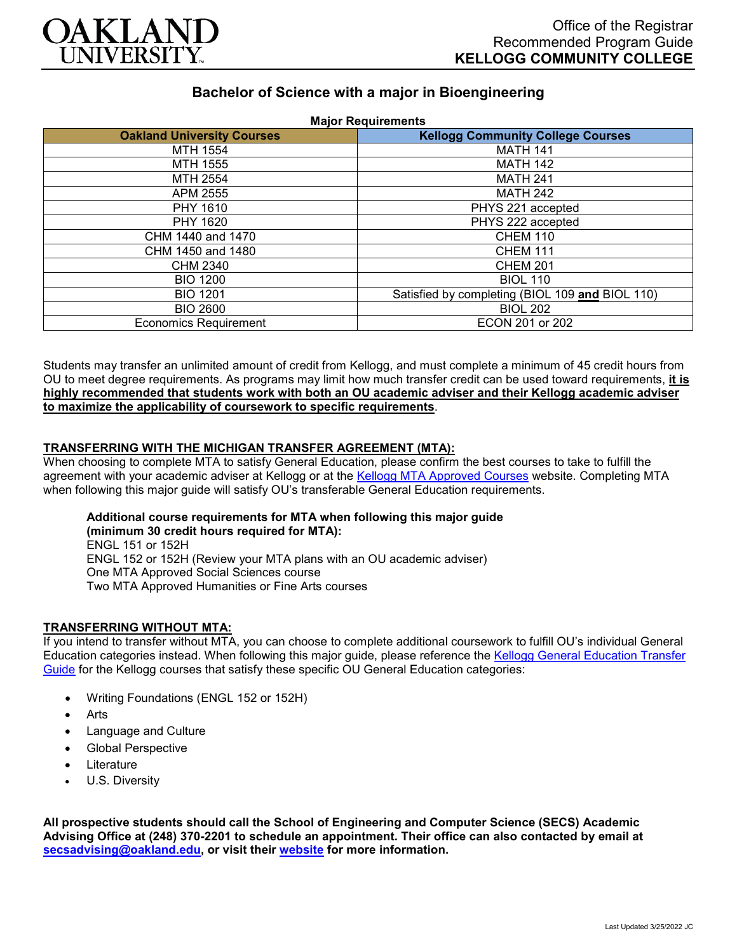

# **Bachelor of Science with a major in Bioengineering**

| <b>Oakland University Courses</b> | <b>Major Requirements</b><br><b>Kellogg Community College Courses</b> |
|-----------------------------------|-----------------------------------------------------------------------|
| MTH 1554                          | <b>MATH 141</b>                                                       |
| MTH 1555                          | <b>MATH 142</b>                                                       |
| MTH 2554                          | <b>MATH 241</b>                                                       |
| APM 2555                          | <b>MATH 242</b>                                                       |
| PHY 1610                          | PHYS 221 accepted                                                     |
| PHY 1620                          | PHYS 222 accepted                                                     |
| CHM 1440 and 1470                 | <b>CHEM 110</b>                                                       |
| CHM 1450 and 1480                 | <b>CHEM 111</b>                                                       |
| <b>CHM 2340</b>                   | <b>CHEM 201</b>                                                       |
| <b>BIO 1200</b>                   | <b>BIOL 110</b>                                                       |
| <b>BIO 1201</b>                   | Satisfied by completing (BIOL 109 and BIOL 110)                       |
| <b>BIO 2600</b>                   | <b>BIOL 202</b>                                                       |
| <b>Economics Requirement</b>      | ECON 201 or 202                                                       |

Students may transfer an unlimited amount of credit from Kellogg, and must complete a minimum of 45 credit hours from OU to meet degree requirements. As programs may limit how much transfer credit can be used toward requirements, **it is highly recommended that students work with both an OU academic adviser and their Kellogg academic adviser to maximize the applicability of coursework to specific requirements**.

### **TRANSFERRING WITH THE MICHIGAN TRANSFER AGREEMENT (MTA):**

When choosing to complete MTA to satisfy General Education, please confirm the best courses to take to fulfill the agreement with your academic adviser at Kellogg or at the [Kellogg MTA Approved Courses](http://catalog.kellogg.edu/content.php?catoid=18&navoid=790#michigan-transfer-agreement) website. Completing MTA when following this major guide will satisfy OU's transferable General Education requirements.

## **Additional course requirements for MTA when following this major guide**

**(minimum 30 credit hours required for MTA):** ENGL 151 or 152H ENGL 152 or 152H (Review your MTA plans with an OU academic adviser) One MTA Approved Social Sciences course Two MTA Approved Humanities or Fine Arts courses

#### **TRANSFERRING WITHOUT MTA:**

If you intend to transfer without MTA, you can choose to complete additional coursework to fulfill OU's individual General Education categories instead. When following this major guide, please reference the [Kellogg General Education Transfer](https://www.oakland.edu/Assets/Oakland/program-guides/kellogg-community-college/university-general-education-requirements/Kellogg%20Gen%20Ed.pdf)  [Guide](https://www.oakland.edu/Assets/Oakland/program-guides/kellogg-community-college/university-general-education-requirements/Kellogg%20Gen%20Ed.pdf) for the Kellogg courses that satisfy these specific OU General Education categories:

- Writing Foundations (ENGL 152 or 152H)
- **Arts**
- Language and Culture
- Global Perspective
- **Literature**
- U.S. Diversity

**All prospective students should call the School of Engineering and Computer Science (SECS) Academic Advising Office at (248) 370-2201 to schedule an appointment. Their office can also contacted by email at [secsadvising@oakland.edu,](mailto:secsadvising@oakland.edu) or visit their [website](https://wwwp.oakland.edu/secs/advising/) for more information.**